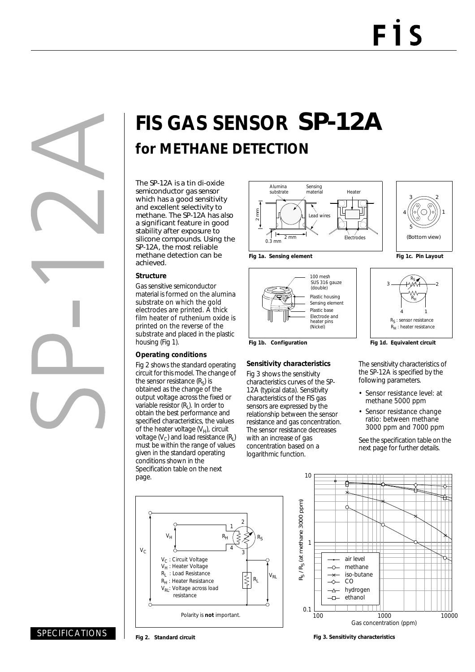# **FIS GAS SENSOR** SP-12A **for METHANE DETECTION**

The SP-12A is a tin di-oxide semiconductor gas sensor which has a good sensitivity and excellent selectivity to methane. The SP-12A has also a significant feature in good stability after exposure to silicone compounds. Using the SP-12A, the most reliable methane detection can be achieved.

#### **Structure**

Gas sensitive semiconductor material is formed on the alumina substrate on which the gold electrodes are printed. A thick film heater of ruthenium oxide is printed on the reverse of the substrate and placed in the plastic housing (Fig 1).

#### **Operating conditions**

Fig 2 shows the standard operating circuit for this model. The change of the sensor resistance  $(R<sub>s</sub>)$  is obtained as the change of the output voltage across the fixed or variable resistor  $(R<sub>1</sub>)$ . In order to obtain the best performance and specified characteristics, the values of the heater voltage  $(V_H)$ , circuit voltage  $(V_C)$  and load resistance  $(R_1)$ must be within the range of values given in the standard operating conditions shown in the Specification table on the next page.









### **Sensitivity characteristics**

Fig 3 shows the sensitivity characteristics curves of the SP-12A (typical data). Sensitivity characteristics of the FIS gas sensors are expressed by the relationship between the sensor resistance and gas concentration. The sensor resistance decreases with an increase of gas concentration based on a logarithmic function.





Fig 1b. Configuration **Fig 1d. Equivalent circuit** 

The sensitivity characteristics of the SP-12A is specified by the following parameters.

- Sensor resistance level: at methane 5000 ppm
- Sensor resistance change ratio: between methane 3000 ppm and 7000 ppm

See the specification table on the next page for further details.

VH RH RS  $R_{L}$   $V_{R}$  $V_{C}$ 2 3 1 4 V<sub>C</sub>: Circuit Voltage  $V_H$ : Heater Voltage<br>R<sub>L</sub>: Load Resistance : Load Resistance R<sub>H</sub>: Heater Resistance  $V_{RI}$ : Voltage across load resistance Polarity is **not** important.



## SPECIFICATIONS

**Fig 2. Standard circuit**

#### **Fig 3. Sensitivity characteristics**